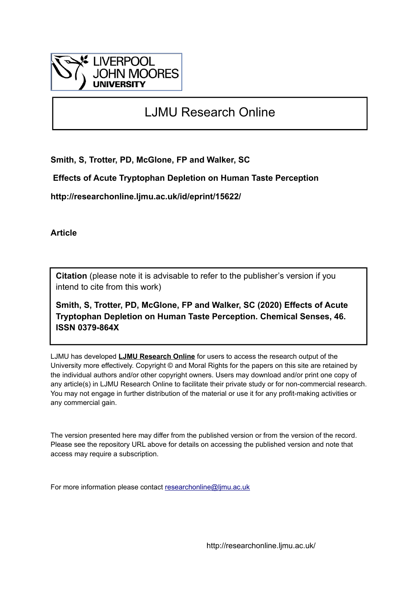

# LJMU Research Online

**Smith, S, Trotter, PD, McGlone, FP and Walker, SC**

 **Effects of Acute Tryptophan Depletion on Human Taste Perception**

**http://researchonline.ljmu.ac.uk/id/eprint/15622/**

**Article**

**Citation** (please note it is advisable to refer to the publisher's version if you intend to cite from this work)

**Smith, S, Trotter, PD, McGlone, FP and Walker, SC (2020) Effects of Acute Tryptophan Depletion on Human Taste Perception. Chemical Senses, 46. ISSN 0379-864X** 

LJMU has developed **[LJMU Research Online](http://researchonline.ljmu.ac.uk/)** for users to access the research output of the University more effectively. Copyright © and Moral Rights for the papers on this site are retained by the individual authors and/or other copyright owners. Users may download and/or print one copy of any article(s) in LJMU Research Online to facilitate their private study or for non-commercial research. You may not engage in further distribution of the material or use it for any profit-making activities or any commercial gain.

The version presented here may differ from the published version or from the version of the record. Please see the repository URL above for details on accessing the published version and note that access may require a subscription.

For more information please contact [researchonline@ljmu.ac.uk](mailto:researchonline@ljmu.ac.uk)

http://researchonline.ljmu.ac.uk/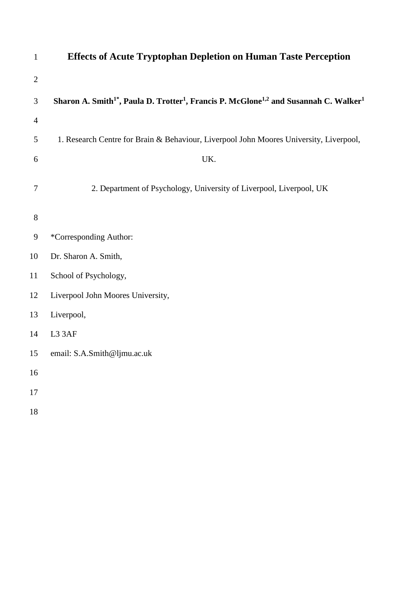| $\mathbf{1}$   | <b>Effects of Acute Tryptophan Depletion on Human Taste Perception</b>                                                                |
|----------------|---------------------------------------------------------------------------------------------------------------------------------------|
| $\mathbf{2}$   |                                                                                                                                       |
| $\mathfrak{Z}$ | Sharon A. Smith <sup>1*</sup> , Paula D. Trotter <sup>1</sup> , Francis P. McGlone <sup>1,2</sup> and Susannah C. Walker <sup>1</sup> |
| $\overline{4}$ |                                                                                                                                       |
| $\mathfrak{S}$ | 1. Research Centre for Brain & Behaviour, Liverpool John Moores University, Liverpool,                                                |
| 6              | UK.                                                                                                                                   |
| $\overline{7}$ | 2. Department of Psychology, University of Liverpool, Liverpool, UK                                                                   |
| $8\,$          |                                                                                                                                       |
| $\overline{9}$ | *Corresponding Author:                                                                                                                |
| 10             | Dr. Sharon A. Smith,                                                                                                                  |
| 11             | School of Psychology,                                                                                                                 |
| 12             | Liverpool John Moores University,                                                                                                     |
| 13             | Liverpool,                                                                                                                            |
| 14             | L3 3AF                                                                                                                                |
| 15             | email: S.A.Smith@ljmu.ac.uk                                                                                                           |
| 16             |                                                                                                                                       |
| $17\,$         |                                                                                                                                       |
| 18             |                                                                                                                                       |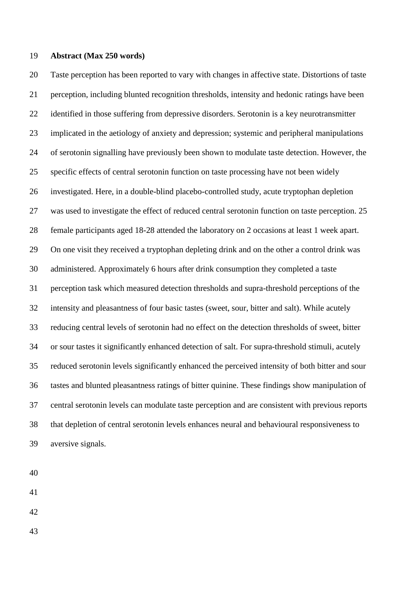## **Abstract (Max 250 words)**

 Taste perception has been reported to vary with changes in affective state. Distortions of taste perception, including blunted recognition thresholds, intensity and hedonic ratings have been identified in those suffering from depressive disorders. Serotonin is a key neurotransmitter implicated in the aetiology of anxiety and depression; systemic and peripheral manipulations of serotonin signalling have previously been shown to modulate taste detection. However, the specific effects of central serotonin function on taste processing have not been widely investigated. Here, in a double-blind placebo-controlled study, acute tryptophan depletion was used to investigate the effect of reduced central serotonin function on taste perception. 25 female participants aged 18-28 attended the laboratory on 2 occasions at least 1 week apart. On one visit they received a tryptophan depleting drink and on the other a control drink was administered. Approximately 6 hours after drink consumption they completed a taste perception task which measured detection thresholds and supra-threshold perceptions of the intensity and pleasantness of four basic tastes (sweet, sour, bitter and salt). While acutely reducing central levels of serotonin had no effect on the detection thresholds of sweet, bitter or sour tastes it significantly enhanced detection of salt. For supra-threshold stimuli, acutely reduced serotonin levels significantly enhanced the perceived intensity of both bitter and sour tastes and blunted pleasantness ratings of bitter quinine. These findings show manipulation of central serotonin levels can modulate taste perception and are consistent with previous reports that depletion of central serotonin levels enhances neural and behavioural responsiveness to aversive signals.

- 
- 

- 
-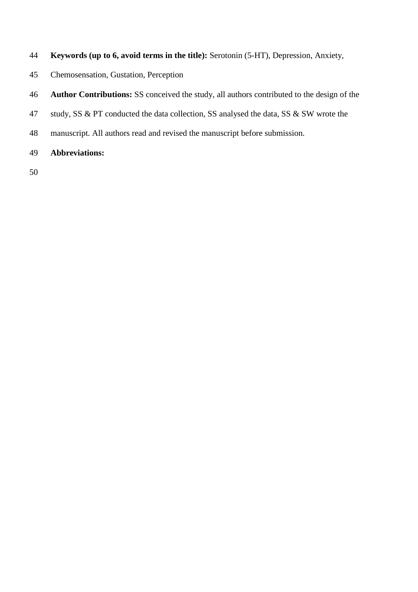- **Keywords (up to 6, avoid terms in the title):** Serotonin (5-HT), Depression, Anxiety,
- Chemosensation, Gustation, Perception
- **Author Contributions:** SS conceived the study, all authors contributed to the design of the
- 47 study, SS & PT conducted the data collection, SS analysed the data, SS & SW wrote the
- manuscript. All authors read and revised the manuscript before submission.
- **Abbreviations:**
-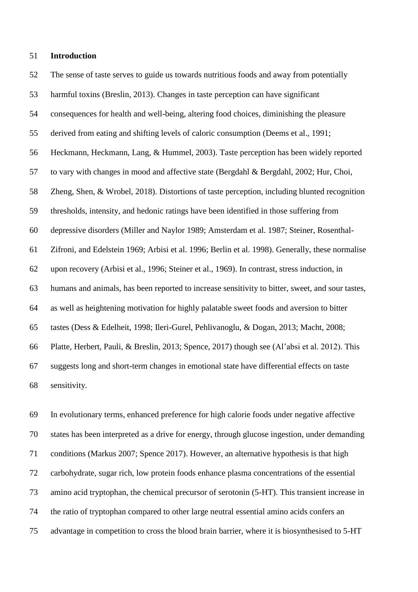## **Introduction**

 The sense of taste serves to guide us towards nutritious foods and away from potentially harmful toxins (Breslin, 2013). Changes in taste perception can have significant consequences for health and well-being, altering food choices, diminishing the pleasure derived from eating and shifting levels of caloric consumption (Deems et al., 1991; Heckmann, Heckmann, Lang, & Hummel, 2003). Taste perception has been widely reported to vary with changes in mood and affective state (Bergdahl & Bergdahl, 2002; Hur, Choi, Zheng, Shen, & Wrobel, 2018). Distortions of taste perception, including blunted recognition thresholds, intensity, and hedonic ratings have been identified in those suffering from depressive disorders (Miller and Naylor 1989; Amsterdam et al. 1987; Steiner, Rosenthal- Zifroni, and Edelstein 1969; Arbisi et al. 1996; Berlin et al. 1998). Generally, these normalise upon recovery (Arbisi et al., 1996; Steiner et al., 1969). In contrast, stress induction, in humans and animals, has been reported to increase sensitivity to bitter, sweet, and sour tastes, as well as heightening motivation for highly palatable sweet foods and aversion to bitter tastes (Dess & Edelheit, 1998; Ileri-Gurel, Pehlivanoglu, & Dogan, 2013; Macht, 2008; Platte, Herbert, Pauli, & Breslin, 2013; Spence, 2017) though see (Al'absi et al. 2012). This suggests long and short-term changes in emotional state have differential effects on taste sensitivity.

 In evolutionary terms, enhanced preference for high calorie foods under negative affective states has been interpreted as a drive for energy, through glucose ingestion, under demanding conditions (Markus 2007; Spence 2017). However, an alternative hypothesis is that high carbohydrate, sugar rich, low protein foods enhance plasma concentrations of the essential amino acid tryptophan, the chemical precursor of serotonin (5-HT). This transient increase in the ratio of tryptophan compared to other large neutral essential amino acids confers an advantage in competition to cross the blood brain barrier, where it is biosynthesised to 5-HT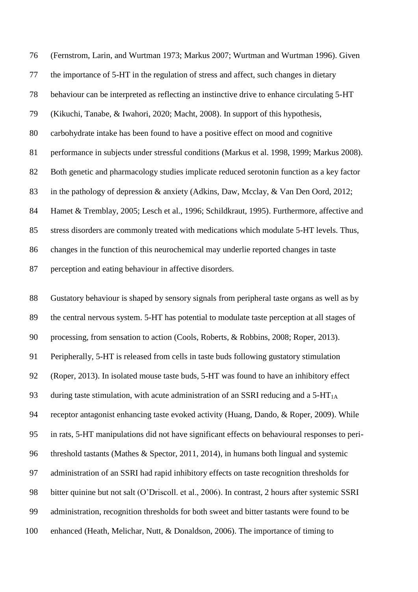(Fernstrom, Larin, and Wurtman 1973; Markus 2007; Wurtman and Wurtman 1996). Given the importance of 5-HT in the regulation of stress and affect, such changes in dietary behaviour can be interpreted as reflecting an instinctive drive to enhance circulating 5-HT (Kikuchi, Tanabe, & Iwahori, 2020; Macht, 2008). In support of this hypothesis, carbohydrate intake has been found to have a positive effect on mood and cognitive performance in subjects under stressful conditions (Markus et al. 1998, 1999; Markus 2008). Both genetic and pharmacology studies implicate reduced serotonin function as a key factor in the pathology of depression & anxiety (Adkins, Daw, Mcclay, & Van Den Oord, 2012; 84 Hamet & Tremblay, 2005; Lesch et al., 1996; Schildkraut, 1995). Furthermore, affective and stress disorders are commonly treated with medications which modulate 5-HT levels. Thus, changes in the function of this neurochemical may underlie reported changes in taste perception and eating behaviour in affective disorders.

 Gustatory behaviour is shaped by sensory signals from peripheral taste organs as well as by the central nervous system. 5-HT has potential to modulate taste perception at all stages of processing, from sensation to action (Cools, Roberts, & Robbins, 2008; Roper, 2013). Peripherally, 5-HT is released from cells in taste buds following gustatory stimulation (Roper, 2013). In isolated mouse taste buds, 5-HT was found to have an inhibitory effect 93 during taste stimulation, with acute administration of an SSRI reducing and a  $5-HT<sub>1A</sub>$  receptor antagonist enhancing taste evoked activity (Huang, Dando, & Roper, 2009). While in rats, 5-HT manipulations did not have significant effects on behavioural responses to peri- threshold tastants (Mathes & Spector, 2011, 2014), in humans both lingual and systemic administration of an SSRI had rapid inhibitory effects on taste recognition thresholds for bitter quinine but not salt (O'Driscoll. et al., 2006). In contrast, 2 hours after systemic SSRI administration, recognition thresholds for both sweet and bitter tastants were found to be enhanced (Heath, Melichar, Nutt, & Donaldson, 2006). The importance of timing to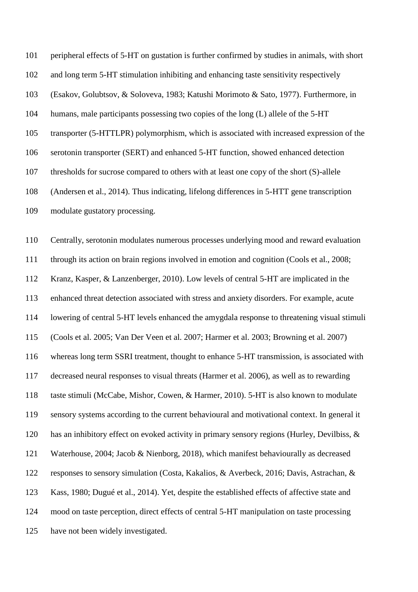peripheral effects of 5-HT on gustation is further confirmed by studies in animals, with short and long term 5-HT stimulation inhibiting and enhancing taste sensitivity respectively (Esakov, Golubtsov, & Soloveva, 1983; Katushi Morimoto & Sato, 1977). Furthermore, in humans, male participants possessing two copies of the long (L) allele of the 5-HT transporter (5-HTTLPR) polymorphism, which is associated with increased expression of the serotonin transporter (SERT) and enhanced 5-HT function, showed enhanced detection thresholds for sucrose compared to others with at least one copy of the short (S)-allele (Andersen et al., 2014). Thus indicating, lifelong differences in 5-HTT gene transcription modulate gustatory processing.

 Centrally, serotonin modulates numerous processes underlying mood and reward evaluation through its action on brain regions involved in emotion and cognition (Cools et al., 2008; Kranz, Kasper, & Lanzenberger, 2010). Low levels of central 5-HT are implicated in the enhanced threat detection associated with stress and anxiety disorders. For example, acute lowering of central 5-HT levels enhanced the amygdala response to threatening visual stimuli (Cools et al. 2005; Van Der Veen et al. 2007; Harmer et al. 2003; Browning et al. 2007) whereas long term SSRI treatment, thought to enhance 5-HT transmission, is associated with decreased neural responses to visual threats (Harmer et al. 2006), as well as to rewarding taste stimuli (McCabe, Mishor, Cowen, & Harmer, 2010). 5-HT is also known to modulate sensory systems according to the current behavioural and motivational context. In general it has an inhibitory effect on evoked activity in primary sensory regions (Hurley, Devilbiss, & Waterhouse, 2004; Jacob & Nienborg, 2018), which manifest behaviourally as decreased responses to sensory simulation (Costa, Kakalios, & Averbeck, 2016; Davis, Astrachan, & Kass, 1980; Dugué et al., 2014). Yet, despite the established effects of affective state and mood on taste perception, direct effects of central 5-HT manipulation on taste processing have not been widely investigated.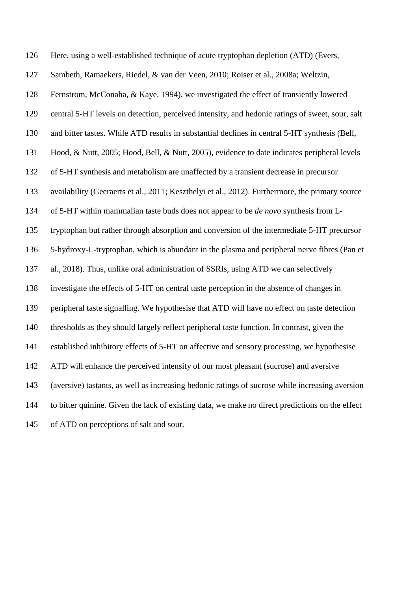Here, using a well-established technique of acute tryptophan depletion (ATD) (Evers, Sambeth, Ramaekers, Riedel, & van der Veen, 2010; Roiser et al., 2008a; Weltzin, Fernstrom, McConaha, & Kaye, 1994), we investigated the effect of transiently lowered central 5-HT levels on detection, perceived intensity, and hedonic ratings of sweet, sour, salt and bitter tastes. While ATD results in substantial declines in central 5-HT synthesis (Bell, Hood, & Nutt, 2005; Hood, Bell, & Nutt, 2005), evidence to date indicates peripheral levels of 5-HT synthesis and metabolism are unaffected by a transient decrease in precursor availability (Geeraerts et al., 2011; Keszthelyi et al., 2012). Furthermore, the primary source of 5-HT within mammalian taste buds does not appear to be *de novo* synthesis from L- tryptophan but rather through absorption and conversion of the intermediate 5-HT precursor 5-hydroxy-L-tryptophan, which is abundant in the plasma and peripheral nerve fibres (Pan et al., 2018). Thus, unlike oral administration of SSRIs, using ATD we can selectively investigate the effects of 5-HT on central taste perception in the absence of changes in peripheral taste signalling. We hypothesise that ATD will have no effect on taste detection thresholds as they should largely reflect peripheral taste function. In contrast, given the established inhibitory effects of 5-HT on affective and sensory processing, we hypothesise ATD will enhance the perceived intensity of our most pleasant (sucrose) and aversive (aversive) tastants, as well as increasing hedonic ratings of sucrose while increasing aversion to bitter quinine. Given the lack of existing data, we make no direct predictions on the effect of ATD on perceptions of salt and sour.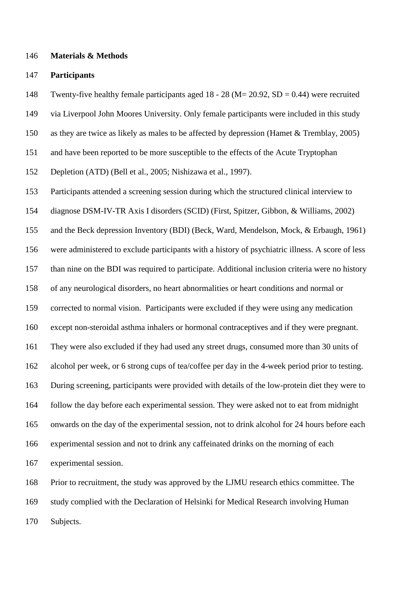## **Materials & Methods**

# **Participants**

Twenty-five healthy female participants aged 18 - 28 (M= 20.92, SD = 0.44) were recruited

via Liverpool John Moores University. Only female participants were included in this study

as they are twice as likely as males to be affected by depression (Hamet & Tremblay, 2005)

and have been reported to be more susceptible to the effects of the Acute Tryptophan

Depletion (ATD) (Bell et al., 2005; Nishizawa et al., 1997).

Participants attended a screening session during which the structured clinical interview to

diagnose DSM-IV-TR Axis I disorders (SCID) (First, Spitzer, Gibbon, & Williams, 2002)

and the Beck depression Inventory (BDI) (Beck, Ward, Mendelson, Mock, & Erbaugh, 1961)

were administered to exclude participants with a history of psychiatric illness. A score of less

than nine on the BDI was required to participate. Additional inclusion criteria were no history

of any neurological disorders, no heart abnormalities or heart conditions and normal or

corrected to normal vision. Participants were excluded if they were using any medication

except non-steroidal asthma inhalers or hormonal contraceptives and if they were pregnant.

They were also excluded if they had used any street drugs, consumed more than 30 units of

alcohol per week, or 6 strong cups of tea/coffee per day in the 4-week period prior to testing.

During screening, participants were provided with details of the low-protein diet they were to

follow the day before each experimental session. They were asked not to eat from midnight

onwards on the day of the experimental session, not to drink alcohol for 24 hours before each

experimental session and not to drink any caffeinated drinks on the morning of each

experimental session.

 Prior to recruitment, the study was approved by the LJMU research ethics committee. The study complied with the Declaration of Helsinki for Medical Research involving Human Subjects.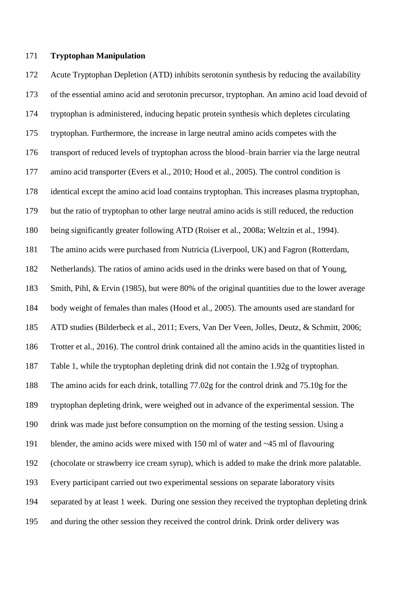## **Tryptophan Manipulation**

 Acute Tryptophan Depletion (ATD) inhibits serotonin synthesis by reducing the availability of the essential amino acid and serotonin precursor, tryptophan. An amino acid load devoid of tryptophan is administered, inducing hepatic protein synthesis which depletes circulating tryptophan. Furthermore, the increase in large neutral amino acids competes with the transport of reduced levels of tryptophan across the blood–brain barrier via the large neutral amino acid transporter (Evers et al., 2010; Hood et al., 2005). The control condition is identical except the amino acid load contains tryptophan. This increases plasma tryptophan, but the ratio of tryptophan to other large neutral amino acids is still reduced, the reduction being significantly greater following ATD (Roiser et al., 2008a; Weltzin et al., 1994). The amino acids were purchased from Nutricia (Liverpool, UK) and Fagron (Rotterdam, Netherlands). The ratios of amino acids used in the drinks were based on that of Young, Smith, Pihl, & Ervin (1985), but were 80% of the original quantities due to the lower average body weight of females than males (Hood et al., 2005). The amounts used are standard for ATD studies (Bilderbeck et al., 2011; Evers, Van Der Veen, Jolles, Deutz, & Schmitt, 2006; Trotter et al., 2016). The control drink contained all the amino acids in the quantities listed in Table 1, while the tryptophan depleting drink did not contain the 1.92g of tryptophan. The amino acids for each drink, totalling 77.02g for the control drink and 75.10g for the tryptophan depleting drink, were weighed out in advance of the experimental session. The drink was made just before consumption on the morning of the testing session. Using a blender, the amino acids were mixed with 150 ml of water and ~45 ml of flavouring (chocolate or strawberry ice cream syrup), which is added to make the drink more palatable. Every participant carried out two experimental sessions on separate laboratory visits separated by at least 1 week. During one session they received the tryptophan depleting drink and during the other session they received the control drink. Drink order delivery was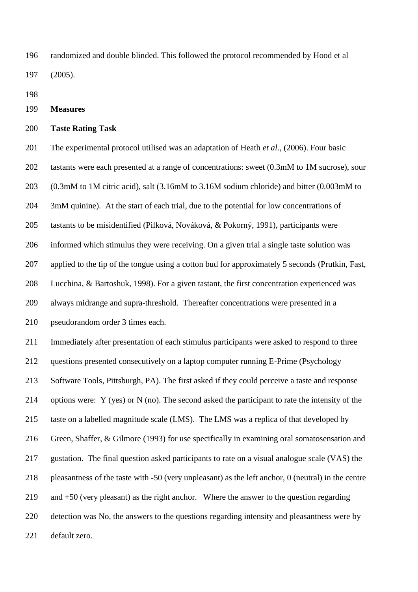randomized and double blinded. This followed the protocol recommended by Hood et al (2005).

**Measures**

## **Taste Rating Task**

 The experimental protocol utilised was an adaptation of Heath *et al*., (2006). Four basic tastants were each presented at a range of concentrations: sweet (0.3mM to 1M sucrose), sour (0.3mM to 1M citric acid), salt (3.16mM to 3.16M sodium chloride) and bitter (0.003mM to 3mM quinine). At the start of each trial, due to the potential for low concentrations of tastants to be misidentified (Pilková, Nováková, & Pokorný, 1991), participants were informed which stimulus they were receiving. On a given trial a single taste solution was applied to the tip of the tongue using a cotton bud for approximately 5 seconds (Prutkin, Fast, Lucchina, & Bartoshuk, 1998). For a given tastant, the first concentration experienced was always midrange and supra-threshold. Thereafter concentrations were presented in a pseudorandom order 3 times each.

 Immediately after presentation of each stimulus participants were asked to respond to three questions presented consecutively on a laptop computer running E-Prime (Psychology Software Tools, Pittsburgh, PA). The first asked if they could perceive a taste and response options were: Y (yes) or N (no). The second asked the participant to rate the intensity of the taste on a labelled magnitude scale (LMS). The LMS was a replica of that developed by Green, Shaffer, & Gilmore (1993) for use specifically in examining oral somatosensation and gustation. The final question asked participants to rate on a visual analogue scale (VAS) the pleasantness of the taste with -50 (very unpleasant) as the left anchor, 0 (neutral) in the centre and +50 (very pleasant) as the right anchor. Where the answer to the question regarding detection was No, the answers to the questions regarding intensity and pleasantness were by default zero.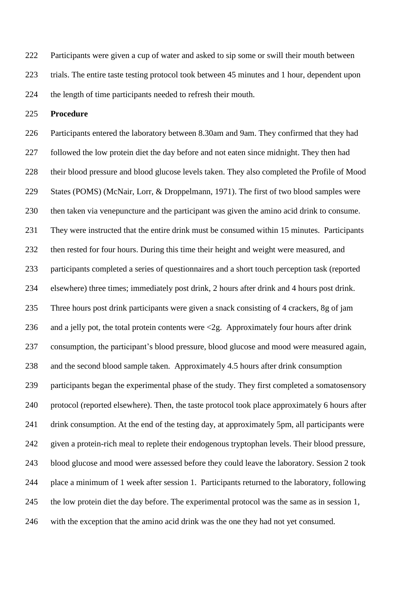Participants were given a cup of water and asked to sip some or swill their mouth between trials. The entire taste testing protocol took between 45 minutes and 1 hour, dependent upon the length of time participants needed to refresh their mouth.

**Procedure**

 Participants entered the laboratory between 8.30am and 9am. They confirmed that they had followed the low protein diet the day before and not eaten since midnight. They then had their blood pressure and blood glucose levels taken. They also completed the Profile of Mood States (POMS) (McNair, Lorr, & Droppelmann, 1971). The first of two blood samples were then taken via venepuncture and the participant was given the amino acid drink to consume. They were instructed that the entire drink must be consumed within 15 minutes. Participants then rested for four hours. During this time their height and weight were measured, and participants completed a series of questionnaires and a short touch perception task (reported elsewhere) three times; immediately post drink, 2 hours after drink and 4 hours post drink. Three hours post drink participants were given a snack consisting of 4 crackers, 8g of jam 236 and a jelly pot, the total protein contents were  $\langle 2g \rangle$ . Approximately four hours after drink consumption, the participant's blood pressure, blood glucose and mood were measured again, and the second blood sample taken. Approximately 4.5 hours after drink consumption participants began the experimental phase of the study. They first completed a somatosensory protocol (reported elsewhere). Then, the taste protocol took place approximately 6 hours after drink consumption. At the end of the testing day, at approximately 5pm, all participants were given a protein-rich meal to replete their endogenous tryptophan levels. Their blood pressure, blood glucose and mood were assessed before they could leave the laboratory. Session 2 took place a minimum of 1 week after session 1. Participants returned to the laboratory, following the low protein diet the day before. The experimental protocol was the same as in session 1, with the exception that the amino acid drink was the one they had not yet consumed.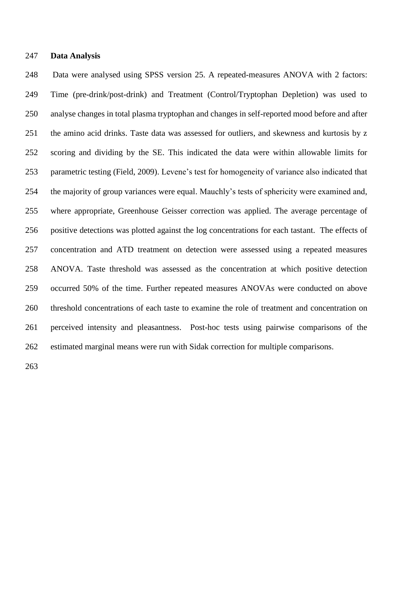# **Data Analysis**

 Data were analysed using SPSS version 25. A repeated-measures ANOVA with 2 factors: Time (pre-drink/post-drink) and Treatment (Control/Tryptophan Depletion) was used to analyse changes in total plasma tryptophan and changes in self-reported mood before and after the amino acid drinks. Taste data was assessed for outliers, and skewness and kurtosis by z scoring and dividing by the SE. This indicated the data were within allowable limits for parametric testing (Field, 2009). Levene's test for homogeneity of variance also indicated that the majority of group variances were equal. Mauchly's tests of sphericity were examined and, where appropriate, Greenhouse Geisser correction was applied. The average percentage of positive detections was plotted against the log concentrations for each tastant. The effects of concentration and ATD treatment on detection were assessed using a repeated measures ANOVA. Taste threshold was assessed as the concentration at which positive detection occurred 50% of the time. Further repeated measures ANOVAs were conducted on above threshold concentrations of each taste to examine the role of treatment and concentration on perceived intensity and pleasantness. Post-hoc tests using pairwise comparisons of the estimated marginal means were run with Sidak correction for multiple comparisons.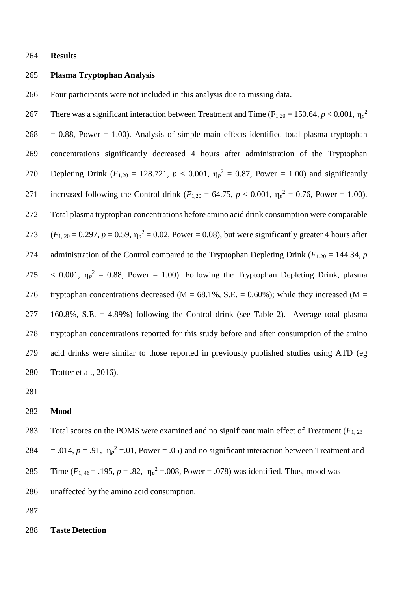**Results**

# **Plasma Tryptophan Analysis**

Four participants were not included in this analysis due to missing data.

There was a significant interaction between Treatment and Time ( $F_{1,20} = 150.64$ ,  $p < 0.001$ ,  $\eta_p^2$ )  $268 = 0.88$ , Power = 1.00). Analysis of simple main effects identified total plasma tryptophan concentrations significantly decreased 4 hours after administration of the Tryptophan 270 Depleting Drink  $(F_{1,20} = 128.721, p < 0.001, \eta_p^2 = 0.87, Power = 1.00)$  and significantly 271 increased following the Control drink ( $F_{1,20} = 64.75$ ,  $p < 0.001$ ,  $\eta_p^2 = 0.76$ , Power = 1.00). Total plasma tryptophan concentrations before amino acid drink consumption were comparable 273  $(F_{1, 20} = 0.297, p = 0.59, \eta_p^2 = 0.02, Power = 0.08)$ , but were significantly greater 4 hours after 274 administration of the Control compared to the Tryptophan Depleting Drink ( $F_{1,20} = 144.34$ , *p* 275  $\lt$  0.001,  $\eta_p^2 = 0.88$ , Power = 1.00). Following the Tryptophan Depleting Drink, plasma 276 tryptophan concentrations decreased (M =  $68.1\%$ , S.E. = 0.60%); while they increased (M = 160.8%, S.E. = 4.89%) following the Control drink (see Table 2). Average total plasma tryptophan concentrations reported for this study before and after consumption of the amino acid drinks were similar to those reported in previously published studies using ATD (eg Trotter et al., 2016).

# **Mood**

 Total scores on the POMS were examined and no significant main effect of Treatment (*F*1, 23 284 = .014,  $p = .91$ ,  $\eta_p^2 = .01$ , Power = .05) and no significant interaction between Treatment and 285 Time  $(F_{1,46} = .195, p = .82, \eta_p^2 = .008, Power = .078)$  was identified. Thus, mood was unaffected by the amino acid consumption.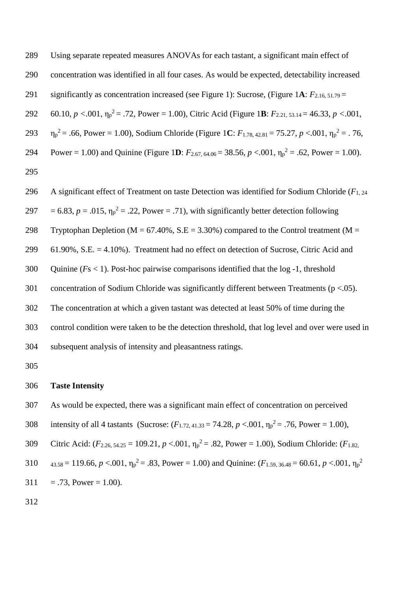Using separate repeated measures ANOVAs for each tastant, a significant main effect of concentration was identified in all four cases. As would be expected, detectability increased significantly as concentration increased (see Figure 1): Sucrose, (Figure 1**A**: *F*2.16, 51.79 = 60.10, *p <*.001, η<sup>p</sup> <sup>2</sup> = .72, Power = 1.00), Citric Acid (Figure 1**B**: *F*2.21, 53.14 = 46.33, *p <*.001, 293  $\eta_p^2 = .66$ , Power = 1.00), Sodium Chloride (Figure 1C:  $F_{1.78, 42.81} = 75.27, p < .001, \eta_p^2 = .76$ , Power = 1.00) and Quinine (Figure 1D:  $F_{2.67, 64.06} = 38.56, p < .001, \eta_p^2 = .62$ , Power = 1.00). 

A significant effect of Treatment on taste Detection was identified for Sodium Chloride (*F*1, 24

297 = 6.83,  $p = .015$ ,  $\eta_p^2 = .22$ , Power = .71), with significantly better detection following

298 Tryptophan Depletion ( $M = 67.40\%$ , S.E = 3.30%) compared to the Control treatment ( $M =$ 

61.90%, S.E. = 4.10%). Treatment had no effect on detection of Sucrose, Citric Acid and

Quinine (*F*s < 1). Post-hoc pairwise comparisons identified that the log -1, threshold

301 concentration of Sodium Chloride was significantly different between Treatments ( $p < .05$ ).

The concentration at which a given tastant was detected at least 50% of time during the

control condition were taken to be the detection threshold, that log level and over were used in

subsequent analysis of intensity and pleasantness ratings.

# **Taste Intensity**

- As would be expected, there was a significant main effect of concentration on perceived
- 308 intensity of all 4 tastants (Sucrose:  $(F_{1.72, 41.33} = 74.28, p < .001, \eta_p^2 = .76, Power = 1.00)$ ,
- Gitric Acid:  $(F_{2.26, 54.25} = 109.21, p < .001, \eta_p^2 = .82, Power = 1.00)$ , Sodium Chloride:  $(F_{1.82, p} = 0.001, F_{1.82, p} = .82)$
- 310  $_{43.58} = 119.66$ ,  $p < .001$ ,  $\eta_p^2 = .83$ , Power = 1.00) and Quinine: ( $F_{1.59, 36.48} = 60.61$ ,  $p < .001$ ,  $\eta_p^2$
- $311 = .73$ , Power = 1.00).
-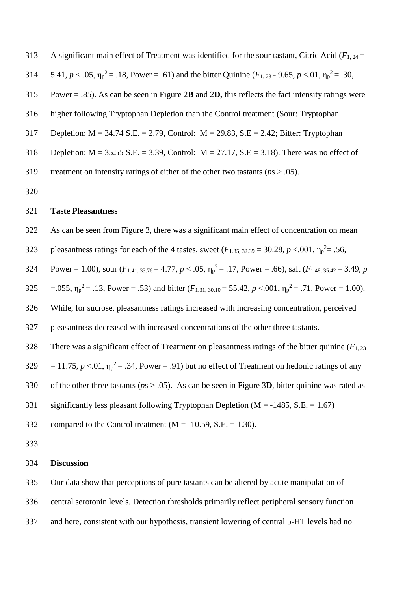A significant main effect of Treatment was identified for the sour tastant, Citric Acid (*F*1, 24 =

314  $5.41, p < .05, \eta_p^2 = .18$ , Power = .61) and the bitter Quinine ( $F_{1, 23} = 9.65, p < .01, \eta_p^2 = .30$ ,

- Power = .85). As can be seen in Figure 2**B** and 2**D,** this reflects the fact intensity ratings were
- higher following Tryptophan Depletion than the Control treatment (Sour: Tryptophan
- Depletion: M = 34.74 S.E. = 2.79, Control: M = 29.83, S.E = 2.42; Bitter: Tryptophan
- 318 Depletion:  $M = 35.55 S.E. = 3.39$ , Control:  $M = 27.17$ ,  $S.E = 3.18$ ). There was no effect of
- treatment on intensity ratings of either of the other two tastants (*p*s > .05).
- 

# **Taste Pleasantness**

- As can be seen from Figure 3, there was a significant main effect of concentration on mean
- 323 pleasantness ratings for each of the 4 tastes, sweet  $(F_{1.35, 32.39} = 30.28, p < .001, \eta_p^2 = .56,$

Power = 1.00), sour  $(F_{1,41,33.76} = 4.77, p < .05, \eta_p^2 = .17,$  Power = .66), salt  $(F_{1,48,35.42} = 3.49, p$ 

325 = .055,  $\eta_p^2 = 0.13$ , Power = .53) and bitter  $(F_{1,31,30,10} = 55.42, p < 0.001, \eta_p^2 = 0.71$ , Power = 1.00).

While, for sucrose, pleasantness ratings increased with increasing concentration, perceived

pleasantness decreased with increased concentrations of the other three tastants.

There was a significant effect of Treatment on pleasantness ratings of the bitter quinine (*F*1, 23

 $329 = 11.75$ ,  $p < 0.01$ ,  $\eta_p^2 = .34$ , Power = .91) but no effect of Treatment on hedonic ratings of any

of the other three tastants (*p*s > .05). As can be seen in Figure 3**D**, bitter quinine was rated as

- 331 significantly less pleasant following Tryptophan Depletion ( $M = -1485$ , S.E. = 1.67)
- 332 compared to the Control treatment  $(M = -10.59, S.E. = 1.30)$ .

#### **Discussion**

Our data show that perceptions of pure tastants can be altered by acute manipulation of

central serotonin levels. Detection thresholds primarily reflect peripheral sensory function

and here, consistent with our hypothesis, transient lowering of central 5-HT levels had no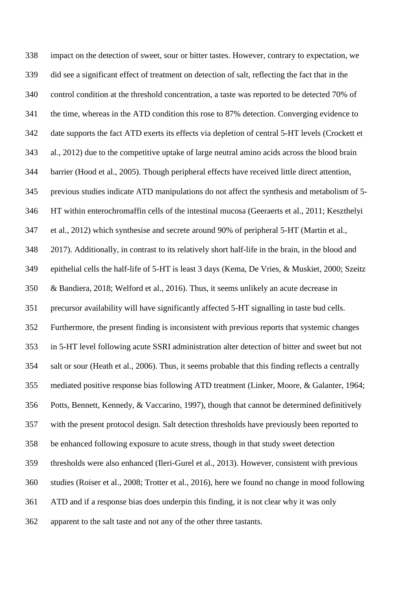impact on the detection of sweet, sour or bitter tastes. However, contrary to expectation, we did see a significant effect of treatment on detection of salt, reflecting the fact that in the control condition at the threshold concentration, a taste was reported to be detected 70% of the time, whereas in the ATD condition this rose to 87% detection. Converging evidence to date supports the fact ATD exerts its effects via depletion of central 5-HT levels (Crockett et al., 2012) due to the competitive uptake of large neutral amino acids across the blood brain barrier (Hood et al., 2005). Though peripheral effects have received little direct attention, previous studies indicate ATD manipulations do not affect the synthesis and metabolism of 5- HT within enterochromaffin cells of the intestinal mucosa (Geeraerts et al., 2011; Keszthelyi et al., 2012) which synthesise and secrete around 90% of peripheral 5-HT (Martin et al., 2017). Additionally, in contrast to its relatively short half-life in the brain, in the blood and epithelial cells the half-life of 5-HT is least 3 days (Kema, De Vries, & Muskiet, 2000; Szeitz & Bandiera, 2018; Welford et al., 2016). Thus, it seems unlikely an acute decrease in precursor availability will have significantly affected 5-HT signalling in taste bud cells. Furthermore, the present finding is inconsistent with previous reports that systemic changes in 5-HT level following acute SSRI administration alter detection of bitter and sweet but not salt or sour (Heath et al., 2006). Thus, it seems probable that this finding reflects a centrally mediated positive response bias following ATD treatment (Linker, Moore, & Galanter, 1964; Potts, Bennett, Kennedy, & Vaccarino, 1997), though that cannot be determined definitively with the present protocol design. Salt detection thresholds have previously been reported to be enhanced following exposure to acute stress, though in that study sweet detection thresholds were also enhanced (Ileri-Gurel et al., 2013). However, consistent with previous studies (Roiser et al., 2008; Trotter et al., 2016), here we found no change in mood following ATD and if a response bias does underpin this finding, it is not clear why it was only apparent to the salt taste and not any of the other three tastants.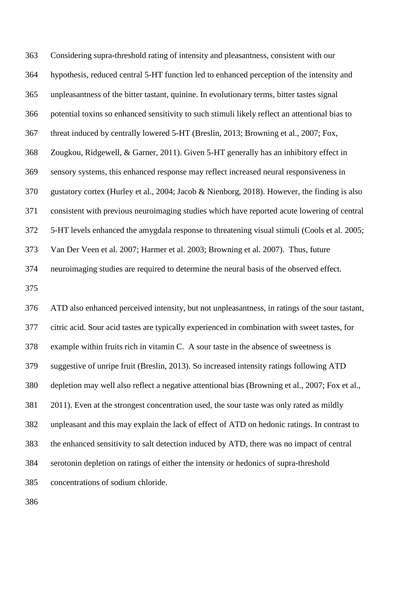Considering supra-threshold rating of intensity and pleasantness, consistent with our hypothesis, reduced central 5-HT function led to enhanced perception of the intensity and unpleasantness of the bitter tastant, quinine. In evolutionary terms, bitter tastes signal potential toxins so enhanced sensitivity to such stimuli likely reflect an attentional bias to threat induced by centrally lowered 5-HT (Breslin, 2013; Browning et al., 2007; Fox, Zougkou, Ridgewell, & Garner, 2011). Given 5-HT generally has an inhibitory effect in sensory systems, this enhanced response may reflect increased neural responsiveness in gustatory cortex (Hurley et al., 2004; Jacob & Nienborg, 2018). However, the finding is also consistent with previous neuroimaging studies which have reported acute lowering of central 5-HT levels enhanced the amygdala response to threatening visual stimuli (Cools et al. 2005; Van Der Veen et al. 2007; Harmer et al. 2003; Browning et al. 2007). Thus, future neuroimaging studies are required to determine the neural basis of the observed effect. ATD also enhanced perceived intensity, but not unpleasantness, in ratings of the sour tastant, citric acid. Sour acid tastes are typically experienced in combination with sweet tastes, for example within fruits rich in vitamin C. A sour taste in the absence of sweetness is suggestive of unripe fruit (Breslin, 2013). So increased intensity ratings following ATD depletion may well also reflect a negative attentional bias (Browning et al., 2007; Fox et al., 2011). Even at the strongest concentration used, the sour taste was only rated as mildly unpleasant and this may explain the lack of effect of ATD on hedonic ratings. In contrast to the enhanced sensitivity to salt detection induced by ATD, there was no impact of central serotonin depletion on ratings of either the intensity or hedonics of supra-threshold

concentrations of sodium chloride.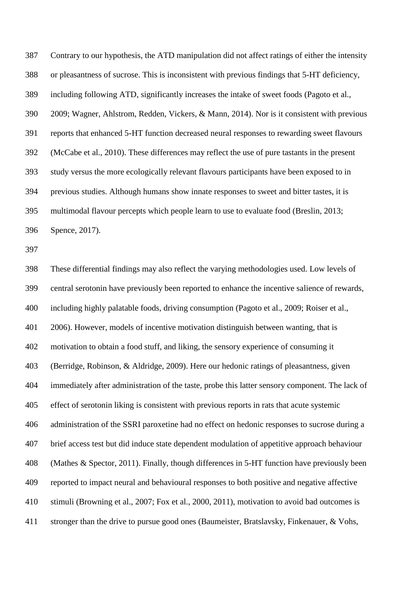Contrary to our hypothesis, the ATD manipulation did not affect ratings of either the intensity or pleasantness of sucrose. This is inconsistent with previous findings that 5-HT deficiency, including following ATD, significantly increases the intake of sweet foods (Pagoto et al., 2009; Wagner, Ahlstrom, Redden, Vickers, & Mann, 2014). Nor is it consistent with previous reports that enhanced 5-HT function decreased neural responses to rewarding sweet flavours (McCabe et al., 2010). These differences may reflect the use of pure tastants in the present study versus the more ecologically relevant flavours participants have been exposed to in previous studies. Although humans show innate responses to sweet and bitter tastes, it is multimodal flavour percepts which people learn to use to evaluate food (Breslin, 2013; Spence, 2017).

 These differential findings may also reflect the varying methodologies used. Low levels of central serotonin have previously been reported to enhance the incentive salience of rewards, including highly palatable foods, driving consumption (Pagoto et al., 2009; Roiser et al., 2006). However, models of incentive motivation distinguish between wanting, that is motivation to obtain a food stuff, and liking, the sensory experience of consuming it (Berridge, Robinson, & Aldridge, 2009). Here our hedonic ratings of pleasantness, given immediately after administration of the taste, probe this latter sensory component. The lack of effect of serotonin liking is consistent with previous reports in rats that acute systemic administration of the SSRI paroxetine had no effect on hedonic responses to sucrose during a brief access test but did induce state dependent modulation of appetitive approach behaviour (Mathes & Spector, 2011). Finally, though differences in 5-HT function have previously been reported to impact neural and behavioural responses to both positive and negative affective stimuli (Browning et al., 2007; Fox et al., 2000, 2011), motivation to avoid bad outcomes is stronger than the drive to pursue good ones (Baumeister, Bratslavsky, Finkenauer, & Vohs,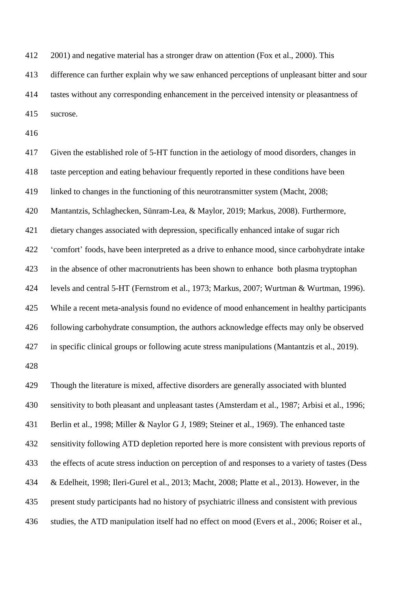2001) and negative material has a stronger draw on attention (Fox et al., 2000). This

 difference can further explain why we saw enhanced perceptions of unpleasant bitter and sour tastes without any corresponding enhancement in the perceived intensity or pleasantness of

sucrose.

 Given the established role of 5-HT function in the aetiology of mood disorders, changes in taste perception and eating behaviour frequently reported in these conditions have been linked to changes in the functioning of this neurotransmitter system (Macht, 2008; Mantantzis, Schlaghecken, Sünram-Lea, & Maylor, 2019; Markus, 2008). Furthermore, dietary changes associated with depression, specifically enhanced intake of sugar rich 'comfort' foods, have been interpreted as a drive to enhance mood, since carbohydrate intake in the absence of other macronutrients has been shown to enhance both plasma tryptophan levels and central 5-HT (Fernstrom et al., 1973; Markus, 2007; Wurtman & Wurtman, 1996). While a recent meta-analysis found no evidence of mood enhancement in healthy participants following carbohydrate consumption, the authors acknowledge effects may only be observed in specific clinical groups or following acute stress manipulations (Mantantzis et al., 2019). Though the literature is mixed, affective disorders are generally associated with blunted sensitivity to both pleasant and unpleasant tastes (Amsterdam et al., 1987; Arbisi et al., 1996; Berlin et al., 1998; Miller & Naylor G J, 1989; Steiner et al., 1969). The enhanced taste

sensitivity following ATD depletion reported here is more consistent with previous reports of

the effects of acute stress induction on perception of and responses to a variety of tastes (Dess

& Edelheit, 1998; Ileri-Gurel et al., 2013; Macht, 2008; Platte et al., 2013). However, in the

present study participants had no history of psychiatric illness and consistent with previous

studies, the ATD manipulation itself had no effect on mood (Evers et al., 2006; Roiser et al.,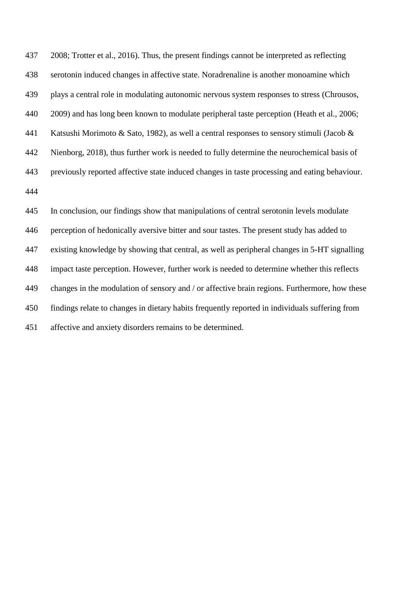2008; Trotter et al., 2016). Thus, the present findings cannot be interpreted as reflecting serotonin induced changes in affective state. Noradrenaline is another monoamine which plays a central role in modulating autonomic nervous system responses to stress (Chrousos, 440 2009) and has long been known to modulate peripheral taste perception (Heath et al., 2006; Katsushi Morimoto & Sato, 1982), as well a central responses to sensory stimuli (Jacob & Nienborg, 2018), thus further work is needed to fully determine the neurochemical basis of previously reported affective state induced changes in taste processing and eating behaviour. 

 In conclusion, our findings show that manipulations of central serotonin levels modulate perception of hedonically aversive bitter and sour tastes. The present study has added to existing knowledge by showing that central, as well as peripheral changes in 5-HT signalling impact taste perception. However, further work is needed to determine whether this reflects changes in the modulation of sensory and / or affective brain regions. Furthermore, how these findings relate to changes in dietary habits frequently reported in individuals suffering from affective and anxiety disorders remains to be determined.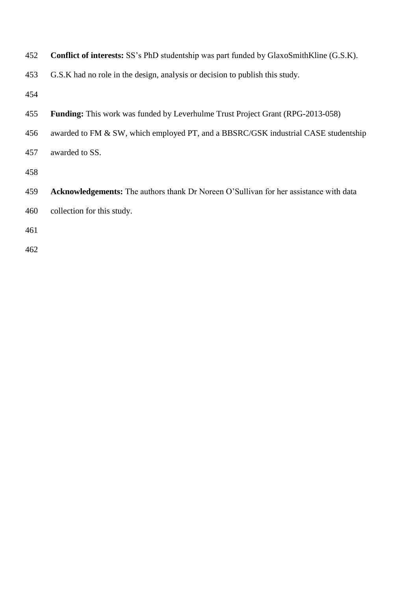| 452 | Conflict of interests: SS's PhD studentship was part funded by GlaxoSmithKline (G.S.K).      |
|-----|----------------------------------------------------------------------------------------------|
| 453 | G.S.K had no role in the design, analysis or decision to publish this study.                 |
| 454 |                                                                                              |
| 455 | <b>Funding:</b> This work was funded by Leverhulme Trust Project Grant (RPG-2013-058)        |
| 456 | awarded to FM & SW, which employed PT, and a BBSRC/GSK industrial CASE studentship           |
| 457 | awarded to SS.                                                                               |
| 458 |                                                                                              |
| 459 | <b>Acknowledgements:</b> The authors thank Dr Noreen O'Sullivan for her assistance with data |
| 460 | collection for this study.                                                                   |
| 461 |                                                                                              |
| 462 |                                                                                              |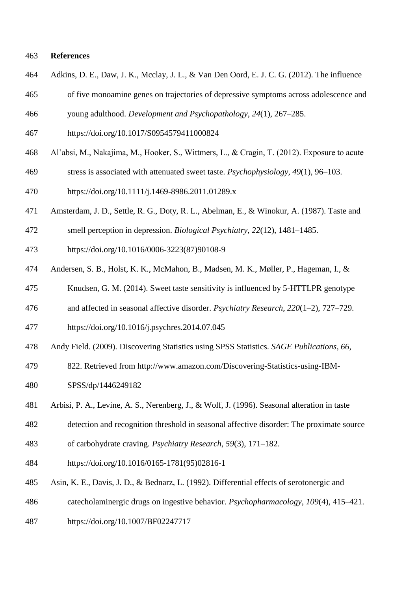## **References**

- Adkins, D. E., Daw, J. K., Mcclay, J. L., & Van Den Oord, E. J. C. G. (2012). The influence
- of five monoamine genes on trajectories of depressive symptoms across adolescence and
- young adulthood. *Development and Psychopathology*, *24*(1), 267–285.
- https://doi.org/10.1017/S0954579411000824
- Al'absi, M., Nakajima, M., Hooker, S., Wittmers, L., & Cragin, T. (2012). Exposure to acute
- stress is associated with attenuated sweet taste. *Psychophysiology*, *49*(1), 96–103.
- https://doi.org/10.1111/j.1469-8986.2011.01289.x
- Amsterdam, J. D., Settle, R. G., Doty, R. L., Abelman, E., & Winokur, A. (1987). Taste and
- smell perception in depression. *Biological Psychiatry*, *22*(12), 1481–1485.
- https://doi.org/10.1016/0006-3223(87)90108-9
- Andersen, S. B., Holst, K. K., McMahon, B., Madsen, M. K., Møller, P., Hageman, I., &
- Knudsen, G. M. (2014). Sweet taste sensitivity is influenced by 5-HTTLPR genotype
- and affected in seasonal affective disorder. *Psychiatry Research*, *220*(1–2), 727–729.
- https://doi.org/10.1016/j.psychres.2014.07.045
- Andy Field. (2009). Discovering Statistics using SPSS Statistics. *SAGE Publications*, *66*,
- 822. Retrieved from http://www.amazon.com/Discovering-Statistics-using-IBM-
- SPSS/dp/1446249182
- Arbisi, P. A., Levine, A. S., Nerenberg, J., & Wolf, J. (1996). Seasonal alteration in taste
- detection and recognition threshold in seasonal affective disorder: The proximate source
- of carbohydrate craving. *Psychiatry Research*, *59*(3), 171–182.
- https://doi.org/10.1016/0165-1781(95)02816-1
- Asin, K. E., Davis, J. D., & Bednarz, L. (1992). Differential effects of serotonergic and
- catecholaminergic drugs on ingestive behavior. *Psychopharmacology*, *109*(4), 415–421.
- https://doi.org/10.1007/BF02247717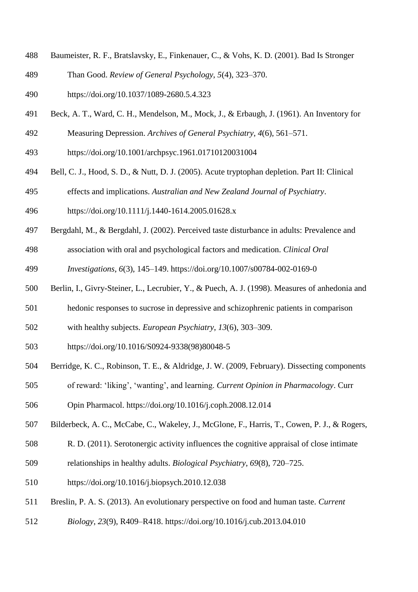- Baumeister, R. F., Bratslavsky, E., Finkenauer, C., & Vohs, K. D. (2001). Bad Is Stronger
- Than Good. *Review of General Psychology*, *5*(4), 323–370.
- https://doi.org/10.1037/1089-2680.5.4.323
- Beck, A. T., Ward, C. H., Mendelson, M., Mock, J., & Erbaugh, J. (1961). An Inventory for
- Measuring Depression. *Archives of General Psychiatry*, *4*(6), 561–571.
- https://doi.org/10.1001/archpsyc.1961.01710120031004
- Bell, C. J., Hood, S. D., & Nutt, D. J. (2005). Acute tryptophan depletion. Part II: Clinical
- effects and implications. *Australian and New Zealand Journal of Psychiatry*.
- https://doi.org/10.1111/j.1440-1614.2005.01628.x
- Bergdahl, M., & Bergdahl, J. (2002). Perceived taste disturbance in adults: Prevalence and
- association with oral and psychological factors and medication. *Clinical Oral*
- *Investigations*, *6*(3), 145–149. https://doi.org/10.1007/s00784-002-0169-0
- Berlin, I., Givry-Steiner, L., Lecrubier, Y., & Puech, A. J. (1998). Measures of anhedonia and
- hedonic responses to sucrose in depressive and schizophrenic patients in comparison
- with healthy subjects. *European Psychiatry*, *13*(6), 303–309.
- https://doi.org/10.1016/S0924-9338(98)80048-5
- Berridge, K. C., Robinson, T. E., & Aldridge, J. W. (2009, February). Dissecting components
- of reward: 'liking', 'wanting', and learning. *Current Opinion in Pharmacology*. Curr
- Opin Pharmacol. https://doi.org/10.1016/j.coph.2008.12.014
- Bilderbeck, A. C., McCabe, C., Wakeley, J., McGlone, F., Harris, T., Cowen, P. J., & Rogers,
- R. D. (2011). Serotonergic activity influences the cognitive appraisal of close intimate
- relationships in healthy adults. *Biological Psychiatry*, *69*(8), 720–725.
- https://doi.org/10.1016/j.biopsych.2010.12.038
- Breslin, P. A. S. (2013). An evolutionary perspective on food and human taste. *Current*
- *Biology*, *23*(9), R409–R418. https://doi.org/10.1016/j.cub.2013.04.010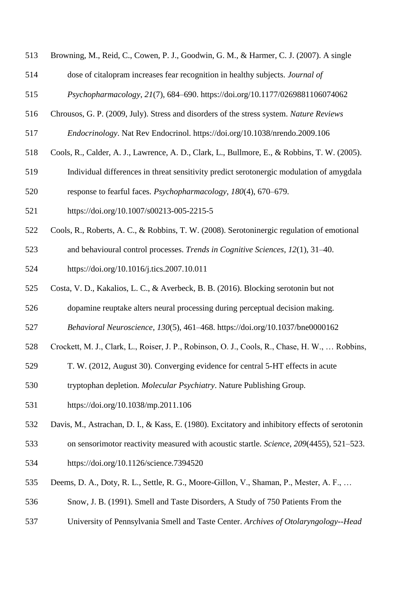- Browning, M., Reid, C., Cowen, P. J., Goodwin, G. M., & Harmer, C. J. (2007). A single
- dose of citalopram increases fear recognition in healthy subjects. *Journal of*

*Psychopharmacology*, *21*(7), 684–690. https://doi.org/10.1177/0269881106074062

- Chrousos, G. P. (2009, July). Stress and disorders of the stress system. *Nature Reviews*
- *Endocrinology*. Nat Rev Endocrinol. https://doi.org/10.1038/nrendo.2009.106
- Cools, R., Calder, A. J., Lawrence, A. D., Clark, L., Bullmore, E., & Robbins, T. W. (2005).
- Individual differences in threat sensitivity predict serotonergic modulation of amygdala
- response to fearful faces. *Psychopharmacology*, *180*(4), 670–679.
- https://doi.org/10.1007/s00213-005-2215-5
- Cools, R., Roberts, A. C., & Robbins, T. W. (2008). Serotoninergic regulation of emotional
- and behavioural control processes. *Trends in Cognitive Sciences*, *12*(1), 31–40.
- https://doi.org/10.1016/j.tics.2007.10.011
- Costa, V. D., Kakalios, L. C., & Averbeck, B. B. (2016). Blocking serotonin but not
- dopamine reuptake alters neural processing during perceptual decision making.
- *Behavioral Neuroscience*, *130*(5), 461–468. https://doi.org/10.1037/bne0000162
- Crockett, M. J., Clark, L., Roiser, J. P., Robinson, O. J., Cools, R., Chase, H. W., … Robbins,
- T. W. (2012, August 30). Converging evidence for central 5-HT effects in acute
- tryptophan depletion. *Molecular Psychiatry*. Nature Publishing Group.
- https://doi.org/10.1038/mp.2011.106
- Davis, M., Astrachan, D. I., & Kass, E. (1980). Excitatory and inhibitory effects of serotonin
- on sensorimotor reactivity measured with acoustic startle. *Science*, *209*(4455), 521–523.
- https://doi.org/10.1126/science.7394520
- Deems, D. A., Doty, R. L., Settle, R. G., Moore-Gillon, V., Shaman, P., Mester, A. F., …
- Snow, J. B. (1991). Smell and Taste Disorders, A Study of 750 Patients From the
- University of Pennsylvania Smell and Taste Center. *Archives of Otolaryngology--Head*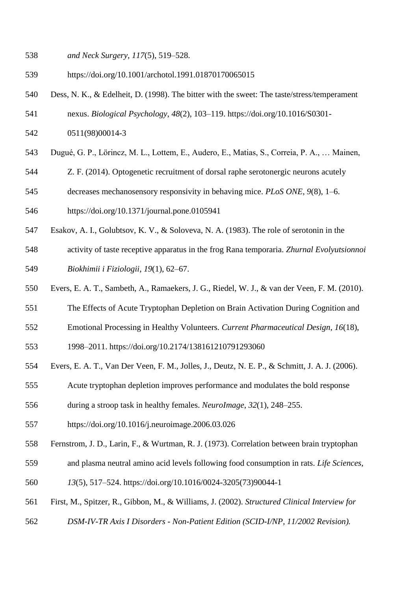- https://doi.org/10.1001/archotol.1991.01870170065015
- Dess, N. K., & Edelheit, D. (1998). The bitter with the sweet: The taste/stress/temperament
- nexus. *Biological Psychology*, *48*(2), 103–119. https://doi.org/10.1016/S0301-
- 0511(98)00014-3
- Dugué, G. P., Lörincz, M. L., Lottem, E., Audero, E., Matias, S., Correia, P. A., … Mainen,
- Z. F. (2014). Optogenetic recruitment of dorsal raphe serotonergic neurons acutely
- decreases mechanosensory responsivity in behaving mice. *PLoS ONE*, *9*(8), 1–6.
- https://doi.org/10.1371/journal.pone.0105941
- Esakov, A. I., Golubtsov, K. V., & Soloveva, N. A. (1983). The role of serotonin in the
- activity of taste receptive apparatus in the frog Rana temporaria. *Zhurnal Evolyutsionnoi Biokhimii i Fiziologii*, *19*(1), 62–67.
- Evers, E. A. T., Sambeth, A., Ramaekers, J. G., Riedel, W. J., & van der Veen, F. M. (2010).
- The Effects of Acute Tryptophan Depletion on Brain Activation During Cognition and
- Emotional Processing in Healthy Volunteers. *Current Pharmaceutical Design*, *16*(18),

1998–2011. https://doi.org/10.2174/138161210791293060

- Evers, E. A. T., Van Der Veen, F. M., Jolles, J., Deutz, N. E. P., & Schmitt, J. A. J. (2006).
- Acute tryptophan depletion improves performance and modulates the bold response
- during a stroop task in healthy females. *NeuroImage*, *32*(1), 248–255.
- https://doi.org/10.1016/j.neuroimage.2006.03.026
- Fernstrom, J. D., Larin, F., & Wurtman, R. J. (1973). Correlation between brain tryptophan
- and plasma neutral amino acid levels following food consumption in rats. *Life Sciences*,
- *13*(5), 517–524. https://doi.org/10.1016/0024-3205(73)90044-1
- First, M., Spitzer, R., Gibbon, M., & Williams, J. (2002). *Structured Clinical Interview for*
- *DSM-IV-TR Axis I Disorders - Non-Patient Edition (SCID-I/NP, 11/2002 Revision).*

*and Neck Surgery*, *117*(5), 519–528.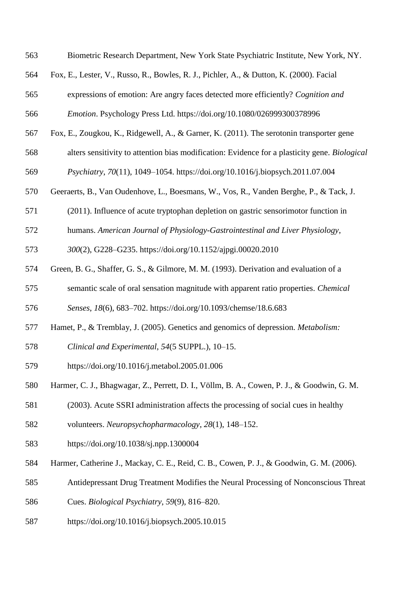| 563 | Biometric Research Department, New York State Psychiatric Institute, New York, NY.            |
|-----|-----------------------------------------------------------------------------------------------|
| 564 | Fox, E., Lester, V., Russo, R., Bowles, R. J., Pichler, A., & Dutton, K. (2000). Facial       |
| 565 | expressions of emotion: Are angry faces detected more efficiently? Cognition and              |
| 566 | Emotion. Psychology Press Ltd. https://doi.org/10.1080/026999300378996                        |
| 567 | Fox, E., Zougkou, K., Ridgewell, A., & Garner, K. (2011). The serotonin transporter gene      |
| 568 | alters sensitivity to attention bias modification: Evidence for a plasticity gene. Biological |
| 569 | Psychiatry, 70(11), 1049-1054. https://doi.org/10.1016/j.biopsych.2011.07.004                 |
| 570 | Geeraerts, B., Van Oudenhove, L., Boesmans, W., Vos, R., Vanden Berghe, P., & Tack, J.        |
| 571 | (2011). Influence of acute tryptophan depletion on gastric sensorimotor function in           |
| 572 | humans. American Journal of Physiology-Gastrointestinal and Liver Physiology,                 |
| 573 | 300(2), G228-G235. https://doi.org/10.1152/ajpgi.00020.2010                                   |
| 574 | Green, B. G., Shaffer, G. S., & Gilmore, M. M. (1993). Derivation and evaluation of a         |
| 575 | semantic scale of oral sensation magnitude with apparent ratio properties. Chemical           |
| 576 | Senses, 18(6), 683-702. https://doi.org/10.1093/chemse/18.6.683                               |
| 577 | Hamet, P., & Tremblay, J. (2005). Genetics and genomics of depression. <i>Metabolism</i> :    |
| 578 | Clinical and Experimental, 54(5 SUPPL.), 10-15.                                               |
| 579 | https://doi.org/10.1016/j.metabol.2005.01.006                                                 |
| 580 | Harmer, C. J., Bhagwagar, Z., Perrett, D. I., Völlm, B. A., Cowen, P. J., & Goodwin, G. M.    |
| 581 | (2003). Acute SSRI administration affects the processing of social cues in healthy            |
| 582 | volunteers. Neuropsychopharmacology, 28(1), 148-152.                                          |
| 583 | https://doi.org/10.1038/sj.npp.1300004                                                        |
| 584 | Harmer, Catherine J., Mackay, C. E., Reid, C. B., Cowen, P. J., & Goodwin, G. M. (2006).      |
| 585 | Antidepressant Drug Treatment Modifies the Neural Processing of Nonconscious Threat           |
| 586 | Cues. Biological Psychiatry, 59(9), 816–820.                                                  |
| 587 | https://doi.org/10.1016/j.biopsych.2005.10.015                                                |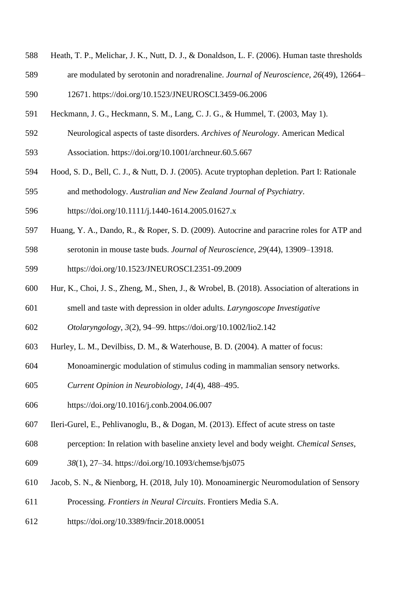- Heath, T. P., Melichar, J. K., Nutt, D. J., & Donaldson, L. F. (2006). Human taste thresholds
- are modulated by serotonin and noradrenaline. *Journal of Neuroscience*, *26*(49), 12664–

12671. https://doi.org/10.1523/JNEUROSCI.3459-06.2006

- Heckmann, J. G., Heckmann, S. M., Lang, C. J. G., & Hummel, T. (2003, May 1).
- Neurological aspects of taste disorders. *Archives of Neurology*. American Medical
- Association. https://doi.org/10.1001/archneur.60.5.667
- Hood, S. D., Bell, C. J., & Nutt, D. J. (2005). Acute tryptophan depletion. Part I: Rationale
- and methodology. *Australian and New Zealand Journal of Psychiatry*.
- https://doi.org/10.1111/j.1440-1614.2005.01627.x
- Huang, Y. A., Dando, R., & Roper, S. D. (2009). Autocrine and paracrine roles for ATP and
- serotonin in mouse taste buds. *Journal of Neuroscience*, *29*(44), 13909–13918.
- https://doi.org/10.1523/JNEUROSCI.2351-09.2009
- Hur, K., Choi, J. S., Zheng, M., Shen, J., & Wrobel, B. (2018). Association of alterations in
- smell and taste with depression in older adults. *Laryngoscope Investigative*
- *Otolaryngology*, *3*(2), 94–99. https://doi.org/10.1002/lio2.142
- Hurley, L. M., Devilbiss, D. M., & Waterhouse, B. D. (2004). A matter of focus:
- Monoaminergic modulation of stimulus coding in mammalian sensory networks.
- *Current Opinion in Neurobiology*, *14*(4), 488–495.
- https://doi.org/10.1016/j.conb.2004.06.007
- Ileri-Gurel, E., Pehlivanoglu, B., & Dogan, M. (2013). Effect of acute stress on taste
- perception: In relation with baseline anxiety level and body weight. *Chemical Senses*,
- *38*(1), 27–34. https://doi.org/10.1093/chemse/bjs075
- Jacob, S. N., & Nienborg, H. (2018, July 10). Monoaminergic Neuromodulation of Sensory
- Processing. *Frontiers in Neural Circuits*. Frontiers Media S.A.
- https://doi.org/10.3389/fncir.2018.00051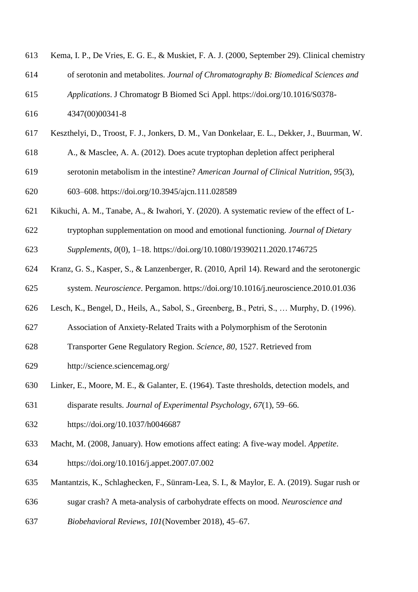| 613 | Kema, I. P., De Vries, E. G. E., & Muskiet, F. A. J. (2000, September 29). Clinical chemistry |
|-----|-----------------------------------------------------------------------------------------------|
| 614 | of serotonin and metabolites. Journal of Chromatography B: Biomedical Sciences and            |
| 615 | Applications. J Chromatogr B Biomed Sci Appl. https://doi.org/10.1016/S0378-                  |
| 616 | 4347(00)00341-8                                                                               |
| 617 | Keszthelyi, D., Troost, F. J., Jonkers, D. M., Van Donkelaar, E. L., Dekker, J., Buurman, W.  |
| 618 | A., & Masclee, A. A. (2012). Does acute tryptophan depletion affect peripheral                |
| 619 | serotonin metabolism in the intestine? American Journal of Clinical Nutrition, 95(3),         |
| 620 | 603–608. https://doi.org/10.3945/ajcn.111.028589                                              |
| 621 | Kikuchi, A. M., Tanabe, A., & Iwahori, Y. (2020). A systematic review of the effect of L-     |
| 622 | tryptophan supplementation on mood and emotional functioning. Journal of Dietary              |

- *Supplements*, *0*(0), 1–18. https://doi.org/10.1080/19390211.2020.1746725
- Kranz, G. S., Kasper, S., & Lanzenberger, R. (2010, April 14). Reward and the serotonergic system. *Neuroscience*. Pergamon. https://doi.org/10.1016/j.neuroscience.2010.01.036
- Lesch, K., Bengel, D., Heils, A., Sabol, S., Greenberg, B., Petri, S., … Murphy, D. (1996).
- Association of Anxiety-Related Traits with a Polymorphism of the Serotonin
- Transporter Gene Regulatory Region. *Science*, *80*, 1527. Retrieved from
- http://science.sciencemag.org/
- Linker, E., Moore, M. E., & Galanter, E. (1964). Taste thresholds, detection models, and
- disparate results. *Journal of Experimental Psychology*, *67*(1), 59–66.
- https://doi.org/10.1037/h0046687
- Macht, M. (2008, January). How emotions affect eating: A five-way model. *Appetite*.
- https://doi.org/10.1016/j.appet.2007.07.002
- Mantantzis, K., Schlaghecken, F., Sünram-Lea, S. I., & Maylor, E. A. (2019). Sugar rush or
- sugar crash? A meta-analysis of carbohydrate effects on mood. *Neuroscience and*
- *Biobehavioral Reviews*, *101*(November 2018), 45–67.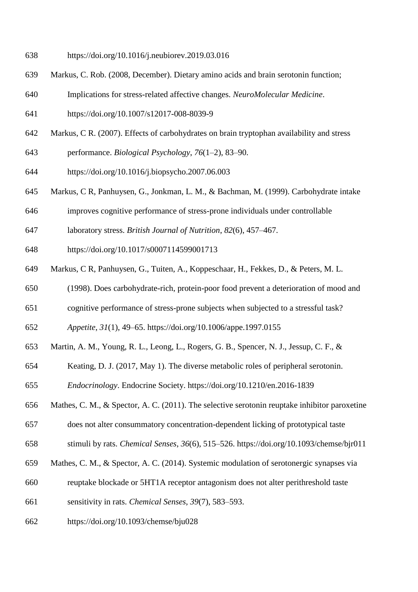- https://doi.org/10.1016/j.neubiorev.2019.03.016
- Markus, C. Rob. (2008, December). Dietary amino acids and brain serotonin function;
- Implications for stress-related affective changes. *NeuroMolecular Medicine*.
- https://doi.org/10.1007/s12017-008-8039-9
- Markus, C R. (2007). Effects of carbohydrates on brain tryptophan availability and stress
- performance. *Biological Psychology*, *76*(1–2), 83–90.
- https://doi.org/10.1016/j.biopsycho.2007.06.003
- Markus, C R, Panhuysen, G., Jonkman, L. M., & Bachman, M. (1999). Carbohydrate intake
- improves cognitive performance of stress-prone individuals under controllable
- laboratory stress. *British Journal of Nutrition*, *82*(6), 457–467.
- https://doi.org/10.1017/s0007114599001713
- Markus, C R, Panhuysen, G., Tuiten, A., Koppeschaar, H., Fekkes, D., & Peters, M. L.
- (1998). Does carbohydrate-rich, protein-poor food prevent a deterioration of mood and
- cognitive performance of stress-prone subjects when subjected to a stressful task?

*Appetite*, *31*(1), 49–65. https://doi.org/10.1006/appe.1997.0155

- Martin, A. M., Young, R. L., Leong, L., Rogers, G. B., Spencer, N. J., Jessup, C. F., &
- Keating, D. J. (2017, May 1). The diverse metabolic roles of peripheral serotonin.
- *Endocrinology*. Endocrine Society. https://doi.org/10.1210/en.2016-1839
- Mathes, C. M., & Spector, A. C. (2011). The selective serotonin reuptake inhibitor paroxetine
- does not alter consummatory concentration-dependent licking of prototypical taste
- stimuli by rats. *Chemical Senses*, *36*(6), 515–526. https://doi.org/10.1093/chemse/bjr011
- Mathes, C. M., & Spector, A. C. (2014). Systemic modulation of serotonergic synapses via
- reuptake blockade or 5HT1A receptor antagonism does not alter perithreshold taste
- sensitivity in rats. *Chemical Senses*, *39*(7), 583–593.
- https://doi.org/10.1093/chemse/bju028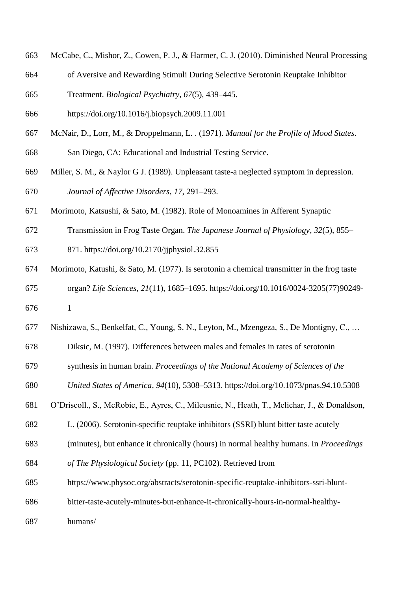- McCabe, C., Mishor, Z., Cowen, P. J., & Harmer, C. J. (2010). Diminished Neural Processing
- of Aversive and Rewarding Stimuli During Selective Serotonin Reuptake Inhibitor
- Treatment. *Biological Psychiatry*, *67*(5), 439–445.
- https://doi.org/10.1016/j.biopsych.2009.11.001
- McNair, D., Lorr, M., & Droppelmann, L. . (1971). *Manual for the Profile of Mood States*.
- San Diego, CA: Educational and Industrial Testing Service.
- Miller, S. M., & Naylor G J. (1989). Unpleasant taste-a neglected symptom in depression. *Journal of Affective Disorders*, *17*, 291–293.
- Morimoto, Katsushi, & Sato, M. (1982). Role of Monoamines in Afferent Synaptic
- Transmission in Frog Taste Organ. *The Japanese Journal of Physiology*, *32*(5), 855–
- 871. https://doi.org/10.2170/jjphysiol.32.855
- Morimoto, Katushi, & Sato, M. (1977). Is serotonin a chemical transmitter in the frog taste organ? *Life Sciences*, *21*(11), 1685–1695. https://doi.org/10.1016/0024-3205(77)90249-
- 1
- Nishizawa, S., Benkelfat, C., Young, S. N., Leyton, M., Mzengeza, S., De Montigny, C., …
- Diksic, M. (1997). Differences between males and females in rates of serotonin
- synthesis in human brain. *Proceedings of the National Academy of Sciences of the*
- *United States of America*, *94*(10), 5308–5313. https://doi.org/10.1073/pnas.94.10.5308
- O'Driscoll., S., McRobie, E., Ayres, C., Mileusnic, N., Heath, T., Melichar, J., & Donaldson,
- L. (2006). Serotonin-specific reuptake inhibitors (SSRI) blunt bitter taste acutely
- (minutes), but enhance it chronically (hours) in normal healthy humans. In *Proceedings*
- *of The Physiological Society* (pp. 11, PC102). Retrieved from
- https://www.physoc.org/abstracts/serotonin-specific-reuptake-inhibitors-ssri-blunt-
- bitter-taste-acutely-minutes-but-enhance-it-chronically-hours-in-normal-healthy-
- humans/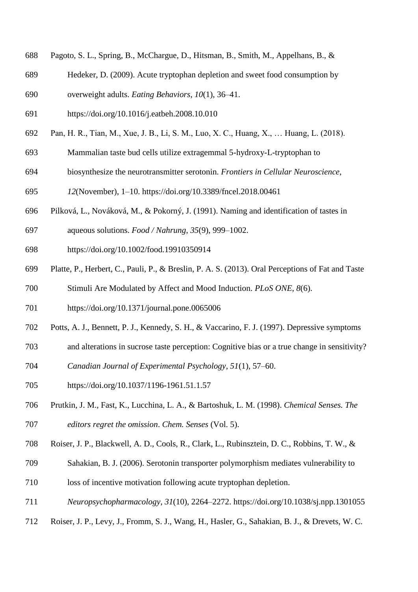- Pagoto, S. L., Spring, B., McChargue, D., Hitsman, B., Smith, M., Appelhans, B., &
- Hedeker, D. (2009). Acute tryptophan depletion and sweet food consumption by
- overweight adults. *Eating Behaviors*, *10*(1), 36–41.
- https://doi.org/10.1016/j.eatbeh.2008.10.010
- Pan, H. R., Tian, M., Xue, J. B., Li, S. M., Luo, X. C., Huang, X., … Huang, L. (2018).
- Mammalian taste bud cells utilize extragemmal 5-hydroxy-L-tryptophan to
- biosynthesize the neurotransmitter serotonin. *Frontiers in Cellular Neuroscience*,
- *12*(November), 1–10. https://doi.org/10.3389/fncel.2018.00461
- Pilková, L., Nováková, M., & Pokorný, J. (1991). Naming and identification of tastes in
- aqueous solutions. *Food / Nahrung*, *35*(9), 999–1002.
- https://doi.org/10.1002/food.19910350914
- Platte, P., Herbert, C., Pauli, P., & Breslin, P. A. S. (2013). Oral Perceptions of Fat and Taste
- Stimuli Are Modulated by Affect and Mood Induction. *PLoS ONE*, *8*(6).
- https://doi.org/10.1371/journal.pone.0065006
- Potts, A. J., Bennett, P. J., Kennedy, S. H., & Vaccarino, F. J. (1997). Depressive symptoms
- and alterations in sucrose taste perception: Cognitive bias or a true change in sensitivity?
- *Canadian Journal of Experimental Psychology*, *51*(1), 57–60.
- https://doi.org/10.1037/1196-1961.51.1.57
- Prutkin, J. M., Fast, K., Lucchina, L. A., & Bartoshuk, L. M. (1998). *Chemical Senses. The editors regret the omission*. *Chem. Senses* (Vol. 5).
- Roiser, J. P., Blackwell, A. D., Cools, R., Clark, L., Rubinsztein, D. C., Robbins, T. W., &
- Sahakian, B. J. (2006). Serotonin transporter polymorphism mediates vulnerability to
- loss of incentive motivation following acute tryptophan depletion.
- *Neuropsychopharmacology*, *31*(10), 2264–2272. https://doi.org/10.1038/sj.npp.1301055
- Roiser, J. P., Levy, J., Fromm, S. J., Wang, H., Hasler, G., Sahakian, B. J., & Drevets, W. C.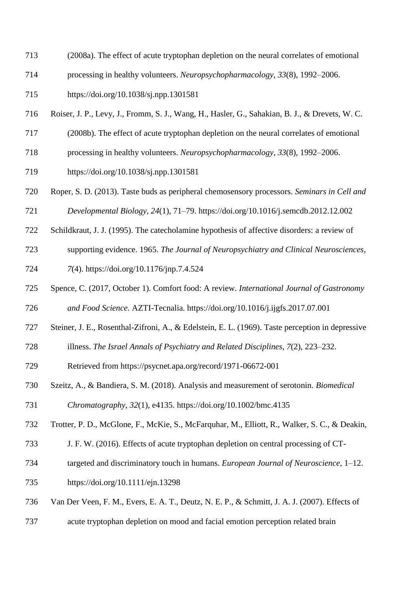- (2008a). The effect of acute tryptophan depletion on the neural correlates of emotional
- processing in healthy volunteers. *Neuropsychopharmacology*, *33*(8), 1992–2006.
- https://doi.org/10.1038/sj.npp.1301581
- Roiser, J. P., Levy, J., Fromm, S. J., Wang, H., Hasler, G., Sahakian, B. J., & Drevets, W. C.
- (2008b). The effect of acute tryptophan depletion on the neural correlates of emotional
- processing in healthy volunteers. *Neuropsychopharmacology*, *33*(8), 1992–2006.
- https://doi.org/10.1038/sj.npp.1301581
- Roper, S. D. (2013). Taste buds as peripheral chemosensory processors. *Seminars in Cell and*
- *Developmental Biology*, *24*(1), 71–79. https://doi.org/10.1016/j.semcdb.2012.12.002
- Schildkraut, J. J. (1995). The catecholamine hypothesis of affective disorders: a review of
- supporting evidence. 1965. *The Journal of Neuropsychiatry and Clinical Neurosciences*,
- *7*(4). https://doi.org/10.1176/jnp.7.4.524
- Spence, C. (2017, October 1). Comfort food: A review. *International Journal of Gastronomy*
- *and Food Science*. AZTI-Tecnalia. https://doi.org/10.1016/j.ijgfs.2017.07.001
- Steiner, J. E., Rosenthal-Zifroni, A., & Edelstein, E. L. (1969). Taste perception in depressive
- illness. *The Israel Annals of Psychiatry and Related Disciplines*, *7*(2), 223–232.
- Retrieved from https://psycnet.apa.org/record/1971-06672-001
- Szeitz, A., & Bandiera, S. M. (2018). Analysis and measurement of serotonin. *Biomedical*
- *Chromatography*, *32*(1), e4135. https://doi.org/10.1002/bmc.4135
- Trotter, P. D., McGlone, F., McKie, S., McFarquhar, M., Elliott, R., Walker, S. C., & Deakin,
- J. F. W. (2016). Effects of acute tryptophan depletion on central processing of CT-
- targeted and discriminatory touch in humans. *European Journal of Neuroscience*, 1–12.
- https://doi.org/10.1111/ejn.13298
- Van Der Veen, F. M., Evers, E. A. T., Deutz, N. E. P., & Schmitt, J. A. J. (2007). Effects of
- acute tryptophan depletion on mood and facial emotion perception related brain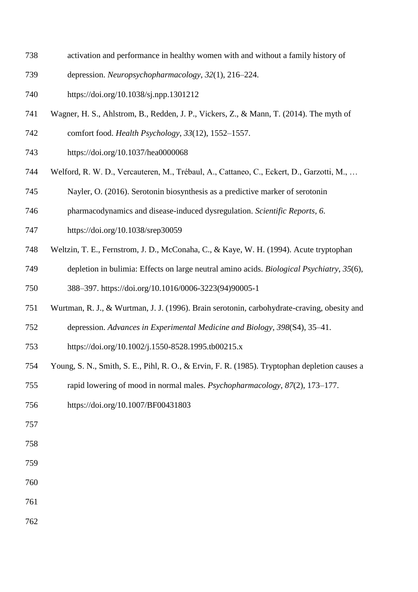- activation and performance in healthy women with and without a family history of
- depression. *Neuropsychopharmacology*, *32*(1), 216–224.
- https://doi.org/10.1038/sj.npp.1301212
- Wagner, H. S., Ahlstrom, B., Redden, J. P., Vickers, Z., & Mann, T. (2014). The myth of
- comfort food. *Health Psychology*, *33*(12), 1552–1557.
- https://doi.org/10.1037/hea0000068
- Welford, R. W. D., Vercauteren, M., Trébaul, A., Cattaneo, C., Eckert, D., Garzotti, M., …
- Nayler, O. (2016). Serotonin biosynthesis as a predictive marker of serotonin
- pharmacodynamics and disease-induced dysregulation. *Scientific Reports*, *6*.
- https://doi.org/10.1038/srep30059
- Weltzin, T. E., Fernstrom, J. D., McConaha, C., & Kaye, W. H. (1994). Acute tryptophan
- depletion in bulimia: Effects on large neutral amino acids. *Biological Psychiatry*, *35*(6),
- 388–397. https://doi.org/10.1016/0006-3223(94)90005-1
- Wurtman, R. J., & Wurtman, J. J. (1996). Brain serotonin, carbohydrate-craving, obesity and
- depression. *Advances in Experimental Medicine and Biology*, *398*(S4), 35–41.
- https://doi.org/10.1002/j.1550-8528.1995.tb00215.x
- Young, S. N., Smith, S. E., Pihl, R. O., & Ervin, F. R. (1985). Tryptophan depletion causes a
- rapid lowering of mood in normal males. *Psychopharmacology*, *87*(2), 173–177.
- https://doi.org/10.1007/BF00431803
- 
- 
- 
- 
- 
-